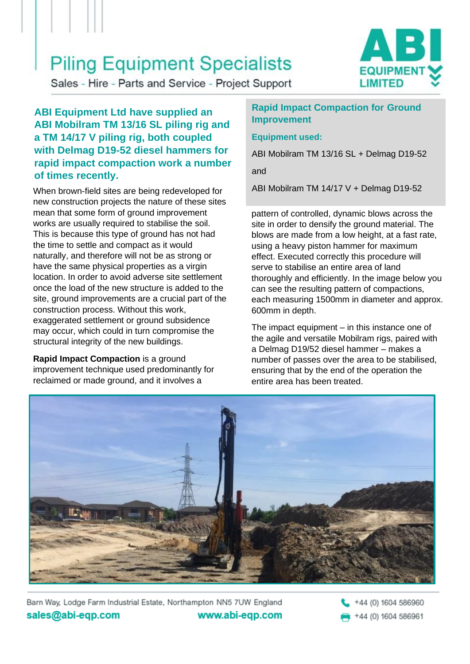## **Piling Equipment Specialists**



Sales - Hire - Parts and Service - Project Support

**ABI Equipment Ltd have supplied an ABI Mobilram TM 13/16 SL piling rig and a TM 14/17 V piling rig, both coupled with Delmag D19-52 diesel hammers for rapid impact compaction work a number of times recently.**

When brown-field sites are being redeveloped for  $\blacksquare$  ABI Mobilram TM 14/17 V + Delmag D19-52 new construction projects the nature of these sites mean that some form of ground improvement works are usually required to stabilise the soil. This is because this type of ground has not had the time to settle and compact as it would naturally, and therefore will not be as strong or have the same physical properties as a virgin location. In order to avoid adverse site settlement once the load of the new structure is added to the site, ground improvements are a crucial part of the construction process. Without this work, exaggerated settlement or ground subsidence may occur, which could in turn compromise the structural integrity of the new buildings.

**Rapid Impact Compaction** is a ground improvement technique used predominantly for reclaimed or made ground, and it involves a

## **Rapid Impact Compaction for Ground Improvement**

## **Equipment used:**

ABI Mobilram TM 13/16 SL + Delmag D19-52

and

pattern of controlled, dynamic blows across the site in order to densify the ground material. The blows are made from a low height, at a fast rate, using a heavy piston hammer for maximum effect. Executed correctly this procedure will serve to stabilise an entire area of land thoroughly and efficiently. In the image below you can see the resulting pattern of compactions, each measuring 1500mm in diameter and approx. 600mm in depth.

The impact equipment – in this instance one of the agile and versatile Mobilram rigs, paired with a Delmag D19/52 diesel hammer – makes a number of passes over the area to be stabilised, ensuring that by the end of the operation the entire area has been treated.



Barn Way, Lodge Farm Industrial Estate, Northampton NN5 7UW England sales@abi-eqp.com www.abi-eqp.com +44 (0) 1604 586960 +44 (0) 1604 586961